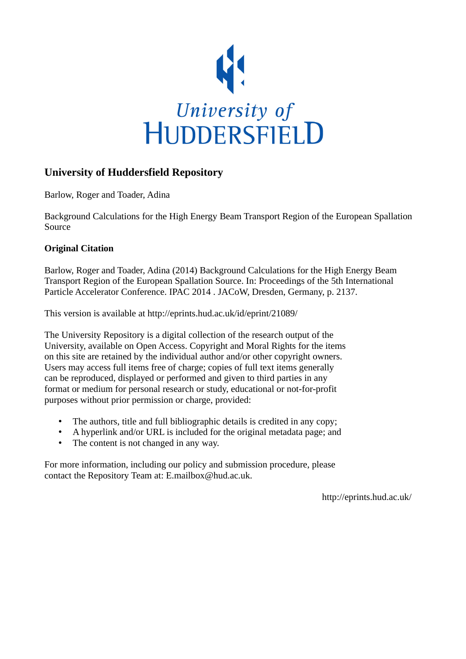

# **University of Huddersfield Repository**

Barlow, Roger and Toader, Adina

Background Calculations for the High Energy Beam Transport Region of the European Spallation Source

## **Original Citation**

Barlow, Roger and Toader, Adina (2014) Background Calculations for the High Energy Beam Transport Region of the European Spallation Source. In: Proceedings of the 5th International Particle Accelerator Conference. IPAC 2014 . JACoW, Dresden, Germany, p. 2137.

This version is available at http://eprints.hud.ac.uk/id/eprint/21089/

The University Repository is a digital collection of the research output of the University, available on Open Access. Copyright and Moral Rights for the items on this site are retained by the individual author and/or other copyright owners. Users may access full items free of charge; copies of full text items generally can be reproduced, displayed or performed and given to third parties in any format or medium for personal research or study, educational or not-for-profit purposes without prior permission or charge, provided:

- The authors, title and full bibliographic details is credited in any copy;
- A hyperlink and/or URL is included for the original metadata page; and
- The content is not changed in any way.

For more information, including our policy and submission procedure, please contact the Repository Team at: E.mailbox@hud.ac.uk.

http://eprints.hud.ac.uk/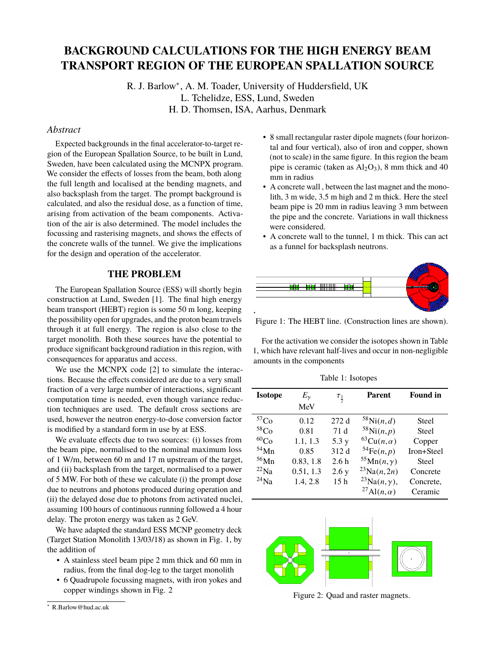## **BACKGROUND CALCULATIONS FOR THE HIGH ENERGY BEAM TRANSPORT REGION OF THE EUROPEAN SPALLATION SOURCE**

R. J. Barlow<sup>∗</sup> , A. M. Toader, University of Huddersfield, UK L. Tchelidze, ESS, Lund, Sweden H. D. Thomsen, ISA, Aarhus, Denmark

#### *Abstract*

Expected backgrounds in the final accelerator-to-target region of the European Spallation Source, to be built in Lund, Sweden, have been calculated using the MCNPX program. We consider the effects of losses from the beam, both along the full length and localised at the bending magnets, and also backsplash from the target. The prompt background is calculated, and also the residual dose, as a function of time, arising from activation of the beam components. Activation of the air is also determined. The model includes the focussing and rasterising magnets, and shows the effects of the concrete walls of the tunnel. We give the implications for the design and operation of the accelerator.

## **THE PROBLEM**

The European Spallation Source (ESS) will shortly begin construction at Lund, Sweden [1]. The final high energy beam transport (HEBT) region is some 50 m long, keeping the possibility open for upgrades, and the proton beam travels through it at full energy. The region is also close to the target monolith. Both these sources have the potential to produce significant background radiation in this region, with consequences for apparatus and access.

We use the MCNPX code [2] to simulate the interactions. Because the effects considered are due to a very small fraction of a very large number of interactions, significant computation time is needed, even though variance reduction techniques are used. The default cross sections are used, however the neutron energy-to-dose conversion factor is modified by a standard form in use by at ESS.

We evaluate effects due to two sources: (i) losses from the beam pipe, normalised to the nominal maximum loss of 1 W/m, between 60 m and 17 m upstream of the target, and (ii) backsplash from the target, normalised to a power of 5 MW. For both of these we calculate (i) the prompt dose due to neutrons and photons produced during operation and (ii) the delayed dose due to photons from activated nuclei, assuming 100 hours of continuous running followed a 4 hour delay. The proton energy was taken as 2 GeV.

We have adapted the standard ESS MCNP geometry deck (Target Station Monolith 13/03/18) as shown in Fig. 1, by the addition of

- A stainless steel beam pipe 2 mm thick and 60 mm in radius, from the final dog-leg to the target monolith
- 6 Quadrupole focussing magnets, with iron yokes and copper windings shown in Fig. 2
- <sup>∗</sup> R.Barlow@hud.ac.uk
- 8 small rectangular raster dipole magnets (four horizontal and four vertical), also of iron and copper, shown (not to scale) in the same figure. In this region the beam pipe is ceramic (taken as  $Al_2O_3$ ), 8 mm thick and 40 mm in radius
- A concrete wall , between the last magnet and the monolith, 3 m wide, 3.5 m high and 2 m thick. Here the steel beam pipe is 20 mm in radius leaving 3 mm between the pipe and the concrete. Variations in wall thickness were considered.
- A concrete wall to the tunnel, 1 m thick. This can act as a funnel for backsplash neutrons.



Figure 1: The HEBT line. (Construction lines are shown).

For the activation we consider the isotopes shown in Table 1, which have relevant half-lives and occur in non-negligible amounts in the components

Table 1: Isotopes

| <b>Isotope</b>   | $E_\gamma$ | $\tau_{\frac{1}{2}}$ | <b>Parent</b>                    | <b>Found in</b> |
|------------------|------------|----------------------|----------------------------------|-----------------|
|                  | MeV        |                      |                                  |                 |
| ${}^{57}Co$      | 0.12       | 272 d                | $58$ Ni $(n,d)$                  | Steel           |
| 58 <sub>Co</sub> | 0.81       | 71 d                 | $58$ Ni $(n, p)$                 | Steel           |
| ${}^{60}Co$      | 1.1, 1.3   | 5.3 y                | ${}^{63}Cu(n,\alpha)$            | Copper          |
| 54Mn             | 0.85       | 312 d                | $54\text{Fe}(n,p)$               | Iron+Steel      |
| $56$ Mn          | 0.83, 1.8  | 2.6h                 | $55Mn(n,\gamma)$                 | <b>Steel</b>    |
| $^{22}$ Na       | 0.51, 1.3  | 2.6y                 | $^{23}Na(n,2n)$                  | Concrete        |
| $^{24}$ Na       | 1.4, 2.8   | 15 <sub>h</sub>      | <sup>23</sup> Na $(n, \gamma)$ , | Concrete.       |
|                  |            |                      | <sup>27</sup> Al( $n, \alpha$ )  | Ceramic         |



Figure 2: Quad and raster magnets.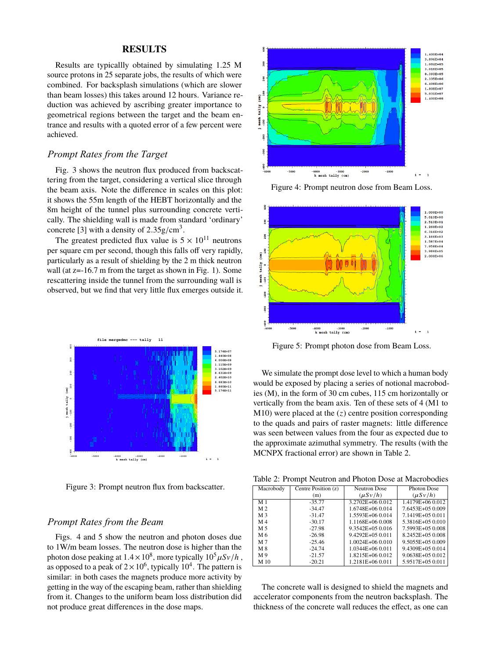#### **RESULTS**

Results are typicallly obtained by simulating 1.25 M source protons in 25 separate jobs, the results of which were combined. For backsplash simulations (which are slower than beam losses) this takes around 12 hours. Variance reduction was achieved by ascribing greater importance to geometrical regions between the target and the beam entrance and results with a quoted error of a few percent were achieved.

## *Prompt Rates from the Target*

Fig. 3 shows the neutron flux produced from backscattering from the target, considering a vertical slice through the beam axis. Note the difference in scales on this plot: it shows the 55m length of the HEBT horizontally and the 8m height of the tunnel plus surrounding concrete vertically. The shielding wall is made from standard 'ordinary' concrete [3] with a density of  $2.35 \text{g/cm}^3$ .

The greatest predicted flux value is  $5 \times 10^{11}$  neutrons per square cm per second, though this falls off very rapidly, particularly as a result of shielding by the 2 m thick neutron wall (at z=-16.7 m from the target as shown in Fig. 1). Some rescattering inside the tunnel from the surrounding wall is observed, but we find that very little flux emerges outside it.



Figure 3: Prompt neutron flux from backscatter.

## *Prompt Rates from the Beam*

Figs. 4 and 5 show the neutron and photon doses due to 1W/m beam losses. The neutron dose is higher than the photon dose peaking at  $1.4 \times 10^8$ , more typically  $10^5 \mu Sv/h$ , as opposed to a peak of  $2 \times 10^6$ , typically  $10^4$ . The pattern is similar: in both cases the magnets produce more activity by getting in the way of the escaping beam, rather than shielding from it. Changes to the uniform beam loss distribution did not produce great differences in the dose maps.



Figure 4: Prompt neutron dose from Beam Loss.



Figure 5: Prompt photon dose from Beam Loss.

We simulate the prompt dose level to which a human body would be exposed by placing a series of notional macrobodies (M), in the form of 30 cm cubes, 115 cm horizontally or vertically from the beam axis. Ten of these sets of 4 (M1 to M10) were placed at the (*z*) centre position corresponding to the quads and pairs of raster magnets: little difference was seen between values from the four as expected due to the approximate azimuthal symmetry. The results (with the MCNPX fractional error) are shown in Table 2.

Table 2: Prompt Neutron and Photon Dose at Macrobodies

| Macrobody      | Centre Position (z) | <b>Neutron Dose</b> | <b>Photon Dose</b> |
|----------------|---------------------|---------------------|--------------------|
|                | (m)                 | $(\mu S v/h)$       | $(\mu S v/h)$      |
| M <sub>1</sub> | $-35.77$            | 3.2702E+06 0.012    | 1.4179E+06 0.012   |
| M <sub>2</sub> | $-34.47$            | 1.6748E+06 0.014    | 7.6453E+05 0.009   |
| M <sub>3</sub> | $-31.47$            | 1.5593E+06 0.014    | 7.1419E+05 0.011   |
| M 4            | $-30.17$            | 1.1168E+06 0.008    | 5.3816E+05 0.010   |
| M 5            | $-27.98$            | 9.3542E+05 0.016    | 7.5993E+05 0.008   |
| M 6            | $-26.98$            | 9.4292E+05 0.011    | 8.2452E+05 0.008   |
| M 7            | $-25.46$            | $1.0024E + 060.010$ | 9.5055E+05 0.009   |
| M 8            | $-24.74$            | $1.0344E + 060.011$ | 9.4309E+05 0.014   |
| M9             | $-21.57$            | 1.8215E+06 0.012    | 9.0638E+05 0.012   |
| M 10           | $-20.21$            | 1.2181E+06 0.011    | 5.9517E+05 0.011   |

The concrete wall is designed to shield the magnets and accelerator components from the neutron backsplash. The thickness of the concrete wall reduces the effect, as one can